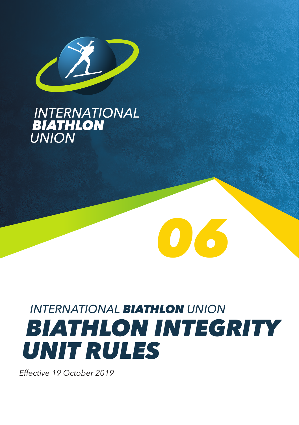

# **INTERNATIONAL<br>BIATHLON<br>UNION**

# *INTERNATIONAL BIATHLON UNION BIATHLON INTEGRITY UNIT RULES*

*06*

*Effective 19 October 2019*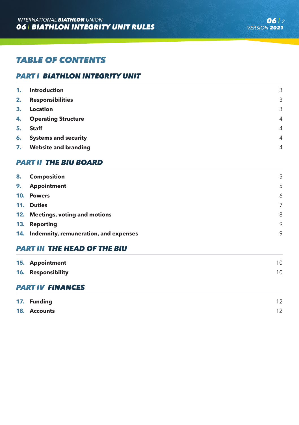# *TABLE OF CONTENTS*

# *PART I BIATHLON INTEGRITY UNIT*

| 1. | <b>Introduction</b>         | 3              |
|----|-----------------------------|----------------|
| 2. | <b>Responsibilities</b>     | 3              |
| 3. | Location                    | 3              |
| 4. | <b>Operating Structure</b>  | $\overline{4}$ |
| 5. | <b>Staff</b>                | $\overline{4}$ |
| 6. | <b>Systems and security</b> | $\overline{4}$ |
| 7. | <b>Website and branding</b> | $\overline{4}$ |

# *PART II THE BIU BOARD*

| 8. | <b>Composition</b>                        | 5 |
|----|-------------------------------------------|---|
| 9. | <b>Appointment</b>                        | 5 |
|    | 10. Powers                                | 6 |
|    | 11. Duties                                | 7 |
|    | 12. Meetings, voting and motions          | 8 |
|    | 13. Reporting                             | 9 |
|    | 14. Indemnity, remuneration, and expenses | 9 |
|    |                                           |   |

# *PART III THE HEAD OF THE BIU*

| 15. Appointment<br>16. Responsibility | 10 <sup>°</sup><br>10 <sup>°</sup> |  |  |  |  |
|---------------------------------------|------------------------------------|--|--|--|--|
| <b>PART IV FINANCES</b>               |                                    |  |  |  |  |
| 17. Funding                           | 12                                 |  |  |  |  |
| 18. Accounts                          | 12 <sup>°</sup>                    |  |  |  |  |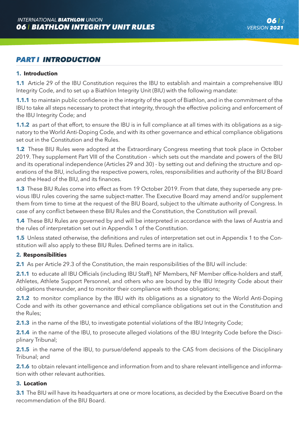# *PART I INTRODUCTION*

# **1. Introduction**

**1.1** Article 29 of the IBU Constitution requires the IBU to establish and maintain a comprehensive IBU Integrity Code, and to set up a Biathlon Integrity Unit (BIU) with the following mandate:

**1.1.1** to maintain public confidence in the integrity of the sport of Biathlon, and in the commitment of the IBU to take all steps necessary to protect that integrity, through the effective policing and enforcement of the IBU Integrity Code; and

**1.1.2** as part of that effort, to ensure the IBU is in full compliance at all times with its obligations as a signatory to the World Anti-Doping Code, and with its other governance and ethical compliance obligations set out in the Constitution and the Rules.

**1.2** These BIU Rules were adopted at the Extraordinary Congress meeting that took place in October 2019. They supplement Part VIII of the Constitution - which sets out the mandate and powers of the BIU and its operational independence (Articles 29 and 30) - by setting out and defining the structure and operations of the BIU, including the respective powers, roles, responsibilities and authority of the BIU Board and the Head of the BIU, and its finances.

**1.3** These BIU Rules come into effect as from 19 October 2019. From that date, they supersede any previous IBU rules covering the same subject-matter. The Executive Board may amend and/or supplement them from time to time at the request of the BIU Board, subject to the ultimate authority of Congress. In case of any conflict between these BIU Rules and the Constitution, the Constitution will prevail.

**1.4** These BIU Rules are governed by and will be interpreted in accordance with the laws of Austria and the rules of interpretation set out in Appendix 1 of the Constitution.

**1.5** Unless stated otherwise, the definitions and rules of interpretation set out in Appendix 1 to the Constitution will also apply to these BIU Rules. Defined terms are in italics.

# **2. Responsibilities**

**2.1** As per Article 29.3 of the Constitution, the main responsibilities of the BIU will include:

2.1.1 to educate all IBU Officials (including IBU Staff), NF Members, NF Member office-holders and staff, Athletes, Athlete Support Personnel, and others who are bound by the IBU Integrity Code about their obligations thereunder, and to monitor their compliance with those obligations;

**2.1.2** to monitor compliance by the IBU with its obligations as a signatory to the World Anti-Doping Code and with its other governance and ethical compliance obligations set out in the Constitution and the Rules;

**2.1.3** in the name of the IBU, to investigate potential violations of the IBU Integrity Code;

**2.1.4** in the name of the IBU, to prosecute alleged violations of the IBU Integrity Code before the Disciplinary Tribunal;

**2.1.5** in the name of the IBU, to pursue/defend appeals to the CAS from decisions of the Disciplinary Tribunal; and

**2.1.6** to obtain relevant intelligence and information from and to share relevant intelligence and information with other relevant authorities.

# **3. Location**

**3.1** The BIU will have its headquarters at one or more locations, as decided by the Executive Board on the recommendation of the BIU Board.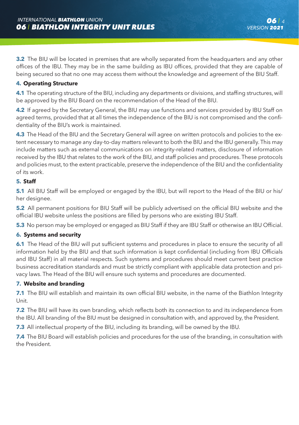**3.2** The BIU will be located in premises that are wholly separated from the headquarters and any other offices of the IBU. They may be in the same building as IBU offices, provided that they are capable of being secured so that no one may access them without the knowledge and agreement of the BIU Staff.

# **4. Operating Structure**

**4.1** The operating structure of the BIU, including any departments or divisions, and staffing structures, will be approved by the BIU Board on the recommendation of the Head of the BIU.

**4.2** If agreed by the Secretary General, the BIU may use functions and services provided by IBU Staff on agreed terms, provided that at all times the independence of the BIU is not compromised and the confidentiality of the BIU's work is maintained.

**4.3** The Head of the BIU and the Secretary General will agree on written protocols and policies to the extent necessary to manage any day-to-day matters relevant to both the BIU and the IBU generally. This may include matters such as external communications on integrity-related matters, disclosure of information received by the IBU that relates to the work of the BIU, and staff policies and procedures. These protocols and policies must, to the extent practicable, preserve the independence of the BIU and the confidentiality of its work.

# **5. Staff**

**5.1** All BIU Staff will be employed or engaged by the IBU, but will report to the Head of the BIU or his/ her designee.

**5.2** All permanent positions for BIU Staff will be publicly advertised on the official BIU website and the official IBU website unless the positions are filled by persons who are existing IBU Staff.

**5.3** No person may be employed or engaged as BIU Staff if they are IBU Staff or otherwise an IBU Official.

# **6. Systems and security**

**6.1** The Head of the BIU will put sufficient systems and procedures in place to ensure the security of all information held by the BIU and that such information is kept confidential (including from IBU Officials and IBU Staff) in all material respects. Such systems and procedures should meet current best practice business accreditation standards and must be strictly compliant with applicable data protection and privacy laws. The Head of the BIU will ensure such systems and procedures are documented.

# **7. Website and branding**

**7.1** The BIU will establish and maintain its own official BIU website, in the name of the Biathlon Integrity Unit.

**7.2** The BIU will have its own branding, which reflects both its connection to and its independence from the IBU. All branding of the BIU must be designed in consultation with, and approved by, the President.

**7.3** All intellectual property of the BIU, including its branding, will be owned by the IBU.

**7.4** The BIU Board will establish policies and procedures for the use of the branding, in consultation with the President.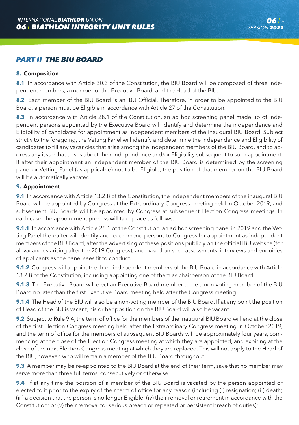# *PART II THE BIU BOARD*

#### **8. Composition**

8.1 In accordance with Article 30.3 of the Constitution, the BIU Board will be composed of three independent members, a member of the Executive Board, and the Head of the BIU.

**8.2** Each member of the BIU Board is an IBU Official. Therefore, in order to be appointed to the BIU Board, a person must be Eligible in accordance with Article 27 of the Constitution.

**8.3** In accordance with Article 28.1 of the Constitution, an ad hoc screening panel made up of independent persons appointed by the Executive Board will identify and determine the independence and Eligibility of candidates for appointment as independent members of the inaugural BIU Board. Subject strictly to the foregoing, the Vetting Panel will identify and determine the independence and Eligibility of candidates to fill any vacancies that arise among the independent members of the BIU Board, and to address any issue that arises about their independence and/or Eligibility subsequent to such appointment. If after their appointment an independent member of the BIU Board is determined by the screening panel or Vetting Panel (as applicable) not to be Eligible, the position of that member on the BIU Board will be automatically vacated.

# **9. Appointment**

**9.1** In accordance with Article 13.2.8 of the Constitution, the independent members of the inaugural BIU Board will be appointed by Congress at the Extraordinary Congress meeting held in October 2019, and subsequent BIU Boards will be appointed by Congress at subsequent Election Congress meetings. In each case, the appointment process will take place as follows:

**9.1.1** In accordance with Article 28.1 of the Constitution, an ad hoc screening panel in 2019 and the Vetting Panel thereafter will identify and recommend persons to Congress for appointment as independent members of the BIU Board, after the advertising of these positions publicly on the official IBU website (for all vacancies arising after the 2019 Congress), and based on such assessments, interviews and enquiries of applicants as the panel sees fit to conduct.

**9.1.2** Congress will appoint the three independent members of the BIU Board in accordance with Article 13.2.8 of the Constitution, including appointing one of them as chairperson of the BIU Board.

**9.1.3** The Executive Board will elect an Executive Board member to be a non-voting member of the BIU Board no later than the first Executive Board meeting held after the Congress meeting.

**9.1.4** The Head of the BIU will also be a non-voting member of the BIU Board. If at any point the position of Head of the BIU is vacant, his or her position on the BIU Board will also be vacant.

**9.2** Subject to Rule 9.4, the term of office for the members of the inaugural BIU Board will end at the close of the first Election Congress meeting held after the Extraordinary Congress meeting in October 2019, and the term of office for the members of subsequent BIU Boards will be approximately four years, commencing at the close of the Election Congress meeting at which they are appointed, and expiring at the close of the next Election Congress meeting at which they are replaced. This will not apply to the Head of the BIU, however, who will remain a member of the BIU Board throughout.

**9.3** A member may be re-appointed to the BIU Board at the end of their term, save that no member may serve more than three full terms, consecutively or otherwise.

**9.4** If at any time the position of a member of the BIU Board is vacated by the person appointed or elected to it prior to the expiry of their term of office for any reason (including (i) resignation; (ii) death; (iii) a decision that the person is no longer Eligible; (iv) their removal or retirement in accordance with the Constitution; or (v) their removal for serious breach or repeated or persistent breach of duties):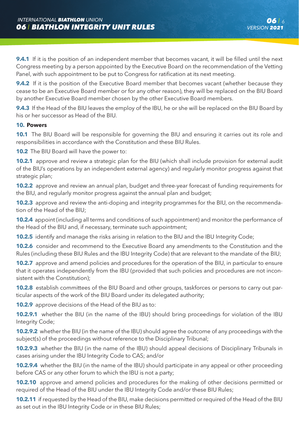**9.4.1** If it is the position of an independent member that becomes vacant, it will be filled until the next Congress meeting by a person appointed by the Executive Board on the recommendation of the Vetting Panel, with such appointment to be put to Congress for ratification at its next meeting.

**9.4.2** If it is the position of the Executive Board member that becomes vacant (whether because they cease to be an Executive Board member or for any other reason), they will be replaced on the BIU Board by another Executive Board member chosen by the other Executive Board members.

**9.4.3** If the Head of the BIU leaves the employ of the IBU, he or she will be replaced on the BIU Board by his or her successor as Head of the BIU.

# **10. Powers**

**10.1** The BIU Board will be responsible for governing the BIU and ensuring it carries out its role and responsibilities in accordance with the Constitution and these BIU Rules.

**10.2** The BIU Board will have the power to:

**10.2.1** approve and review a strategic plan for the BIU (which shall include provision for external audit of the BIU's operations by an independent external agency) and regularly monitor progress against that strategic plan;

**10.2.2** approve and review an annual plan, budget and three-year forecast of funding requirements for the BIU, and regularly monitor progress against the annual plan and budget;

**10.2.3** approve and review the anti-doping and integrity programmes for the BIU, on the recommendation of the Head of the BIU;

**10.2.4** appoint (including all terms and conditions of such appointment) and monitor the performance of the Head of the BIU and, if necessary, terminate such appointment;

**10.2.5** identify and manage the risks arising in relation to the BIU and the IBU Integrity Code;

**10.2.6** consider and recommend to the Executive Board any amendments to the Constitution and the Rules (including these BIU Rules and the IBU Integrity Code) that are relevant to the mandate of the BIU;

**10.2.7** approve and amend policies and procedures for the operation of the BIU, in particular to ensure that it operates independently from the IBU (provided that such policies and procedures are not inconsistent with the Constitution);

**10.2.8** establish committees of the BIU Board and other groups, taskforces or persons to carry out particular aspects of the work of the BIU Board under its delegated authority;

**10.2.9** approve decisions of the Head of the BIU as to:

**10.2.9.1** whether the BIU (in the name of the IBU) should bring proceedings for violation of the IBU Integrity Code;

**10.2.9.2** whether the BIU (in the name of the IBU) should agree the outcome of any proceedings with the subject(s) of the proceedings without reference to the Disciplinary Tribunal;

**10.2.9.3** whether the BIU (in the name of the IBU) should appeal decisions of Disciplinary Tribunals in cases arising under the IBU Integrity Code to CAS; and/or

**10.2.9.4** whether the BIU (in the name of the IBU) should participate in any appeal or other proceeding before CAS or any other forum to which the IBU is not a party;

**10.2.10** approve and amend policies and procedures for the making of other decisions permitted or required of the Head of the BIU under the IBU Integrity Code and/or these BIU Rules;

**10.2.11** if requested by the Head of the BIU, make decisions permitted or required of the Head of the BIU as set out in the IBU Integrity Code or in these BIU Rules;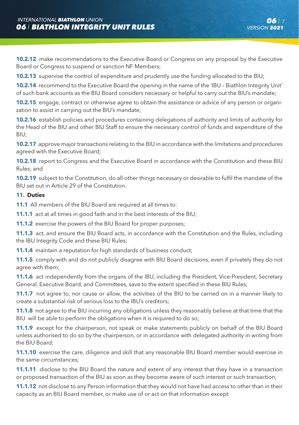**10.2.12** make recommendations to the Executive Board or Congress on any proposal by the Executive Board or Congress to suspend or sanction NF Members;

**10.2.13** supervise the control of expenditure and prudently use the funding allocated to the BIU;

**10.2.14** recommend to the Executive Board the opening in the name of the 'IBU – Biathlon Integrity Unit' of such bank accounts as the BIU Board considers necessary or helpful to carry out the BIU's mandate;

**10.2.15** engage, contract or otherwise agree to obtain the assistance or advice of any person or organization to assist in carrying out the BIU's mandate;

**10.2.16** establish policies and procedures containing delegations of authority and limits of authority for the Head of the BIU and other BIU Staff to ensure the necessary control of funds and expenditure of the BIU;

**10.2.17** approve major transactions relating to the BIU in accordance with the limitations and procedures agreed with the Executive Board;

**10.2.18** report to Congress and the Executive Board in accordance with the Constitution and these BIU Rules; and

**10.2.19** subject to the Constitution, do all other things necessary or desirable to fulfil the mandate of the BIU set out in Article 29 of the Constitution.

# **11. Duties**

**11.1** All members of the BIU Board are required at all times to:

**11.1.1** act at all times in good faith and in the best interests of the BIU;

**11.1.2** exercise the powers of the BIU Board for proper purposes;

**11.1.3** act, and ensure the BIU Board acts, in accordance with the Constitution and the Rules, including the IBU Integrity Code and these BIU Rules:

**11.1.4** maintain a reputation for high standards of business conduct;

**11.1.5** comply with and do not publicly disagree with BIU Board decisions, even if privately they do not agree with them;

**11.1.6** act independently from the organs of the IBU, including the President, Vice-President, Secretary General, Executive Board, and Committees, save to the extent specified in these BIU Rules;

**11.1.7** not agree to, nor cause or allow, the activities of the BIU to be carried on in a manner likely to create a substantial risk of serious loss to the IBU's creditors;

**11.1.8** not agree to the BIU incurring any obligations unless they reasonably believe at that time that the BIU will be able to perform the obligations when it is required to do so;

**11.1.9** except for the chairperson, not speak or make statements publicly on behalf of the BIU Board unless authorised to do so by the chairperson, or in accordance with delegated authority in writing from the BIU Board;

**11.1.10** exercise the care, diligence and skill that any reasonable BIU Board member would exercise in the same circumstances;

**11.1.11** disclose to the BIU Board the nature and extent of any interest that they have in a transaction or proposed transaction of the BIU as soon as they become aware of such interest or such transaction;

**11.1.12** not disclose to any Person information that they would not have had access to other than in their capacity as an BIU Board member, or make use of or act on that information except: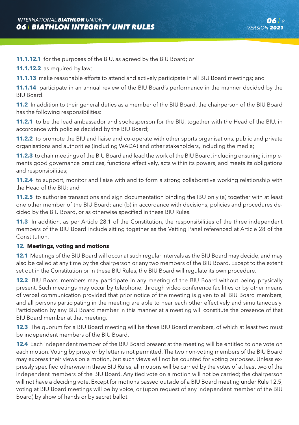**11.1.12.1** for the purposes of the BIU, as agreed by the BIU Board; or

**11.1.12.2** as required by law;

**11.1.13** make reasonable efforts to attend and actively participate in all BIU Board meetings; and

**11.1.14** participate in an annual review of the BIU Board's performance in the manner decided by the BIU Board.

**11.2** In addition to their general duties as a member of the BIU Board, the chairperson of the BIU Board has the following responsibilities:

**11.2.1** to be the lead ambassador and spokesperson for the BIU, together with the Head of the BIU, in accordance with policies decided by the BIU Board;

**11.2.2** to promote the BIU and liaise and co-operate with other sports organisations, public and private organisations and authorities (including WADA) and other stakeholders, including the media;

**11.2.3** to chair meetings of the BIU Board and lead the work of the BIU Board, including ensuring it implements good governance practices, functions effectively, acts within its powers, and meets its obligations and responsibilities;

**11.2.4** to support, monitor and liaise with and to form a strong collaborative working relationship with the Head of the BIU; and

**11.2.5** to authorise transactions and sign documentation binding the IBU only (a) together with at least one other member of the BIU Board; and (b) in accordance with decisions, policies and procedures decided by the BIU Board, or as otherwise specified in these BIU Rules.

**11.3** In addition, as per Article 28.1 of the Constitution, the responsibilities of the three independent members of the BIU Board include sitting together as the Vetting Panel referenced at Article 28 of the Constitution.

# **12. Meetings, voting and motions**

**12.1** Meetings of the BIU Board will occur at such regular intervals as the BIU Board may decide, and may also be called at any time by the chairperson or any two members of the BIU Board. Except to the extent set out in the Constitution or in these BIU Rules, the BIU Board will regulate its own procedure.

**12.2** BIU Board members may participate in any meeting of the BIU Board without being physically present. Such meetings may occur by telephone, through video conference facilities or by other means of verbal communication provided that prior notice of the meeting is given to all BIU Board members, and all persons participating in the meeting are able to hear each other effectively and simultaneously. Participation by any BIU Board member in this manner at a meeting will constitute the presence of that BIU Board member at that meeting.

**12.3** The quorum for a BIU Board meeting will be three BIU Board members, of which at least two must be independent members of the BIU Board.

**12.4** Each independent member of the BIU Board present at the meeting will be entitled to one vote on each motion. Voting by proxy or by letter is not permitted. The two non-voting members of the BIU Board may express their views on a motion, but such views will not be counted for voting purposes. Unless expressly specified otherwise in these BIU Rules, all motions will be carried by the votes of at least two of the independent members of the BIU Board. Any tied vote on a motion will not be carried; the chairperson will not have a deciding vote. Except for motions passed outside of a BIU Board meeting under Rule 12.5, voting at BIU Board meetings will be by voice, or (upon request of any independent member of the BIU Board) by show of hands or by secret ballot.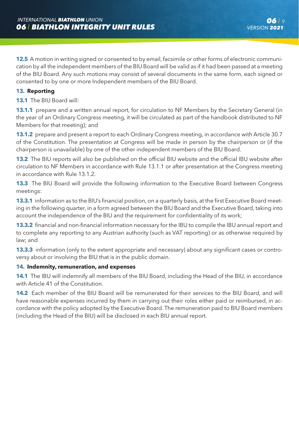**12.5** A motion in writing signed or consented to by email, facsimile or other forms of electronic communication by all the independent members of the BIU Board will be valid as if it had been passed at a meeting of the BIU Board. Any such motions may consist of several documents in the same form, each signed or consented to by one or more Independent members of the BIU Board.

# **13. Reporting**

**13.1** The BIU Board will:

**13.1.1** prepare and a written annual report, for circulation to NF Members by the Secretary General (in the year of an Ordinary Congress meeting, it will be circulated as part of the handbook distributed to NF Members for that meeting); and

**13.1.2** prepare and present a report to each Ordinary Congress meeting, in accordance with Article 30.7 of the Constitution. The presentation at Congress will be made in person by the chairperson or (if the chairperson is unavailable) by one of the other independent members of the BIU Board.

**13.2** The BIU reports will also be published on the official BIU website and the official IBU website after circulation to NF Members in accordance with Rule 13.1.1 or after presentation at the Congress meeting in accordance with Rule 13.1.2.

**13.3** The BIU Board will provide the following information to the Executive Board between Congress meetings:

**13.3.1** information as to the BIU's financial position, on a quarterly basis, at the first Executive Board meeting in the following quarter, in a form agreed between the BIU Board and the Executive Board, taking into account the independence of the BIU and the requirement for confidentiality of its work;

**13.3.2** financial and non-financial information necessary for the IBU to compile the IBU annual report and to complete any reporting to any Austrian authority (such as VAT reporting) or as otherwise required by law; and

**13.3.3** information (only to the extent appropriate and necessary) about any significant cases or controversy about or involving the BIU that is in the public domain.

#### **14. Indemnity, remuneration, and expenses**

**14.1** The IBU will indemnify all members of the BIU Board, including the Head of the BIU, in accordance with Article 41 of the Constitution.

**14.2** Each member of the BIU Board will be remunerated for their services to the BIU Board, and will have reasonable expenses incurred by them in carrying out their roles either paid or reimbursed, in accordance with the policy adopted by the Executive Board. The remuneration paid to BIU Board members (including the Head of the BIU) will be disclosed in each BIU annual report.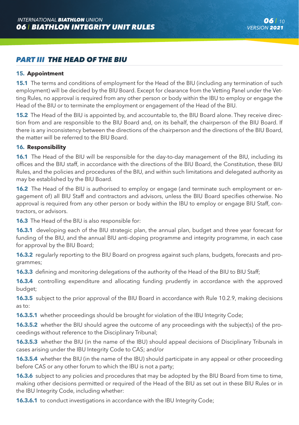# *PART III THE HEAD OF THE BIU*

# **15. Appointment**

**15.1** The terms and conditions of employment for the Head of the BIU (including any termination of such employment) will be decided by the BIU Board. Except for clearance from the Vetting Panel under the Vetting Rules, no approval is required from any other person or body within the IBU to employ or engage the Head of the BIU or to terminate the employment or engagement of the Head of the BIU.

**15.2** The Head of the BIU is appointed by, and accountable to, the BIU Board alone. They receive direction from and are responsible to the BIU Board and, on its behalf, the chairperson of the BIU Board. If there is any inconsistency between the directions of the chairperson and the directions of the BIU Board, the matter will be referred to the BIU Board.

#### **16. Responsibility**

**16.1** The Head of the BIU will be responsible for the day-to-day management of the BIU, including its offices and the BIU staff, in accordance with the directions of the BIU Board, the Constitution, these BIU Rules, and the policies and procedures of the BIU, and within such limitations and delegated authority as may be established by the BIU Board.

**16.2** The Head of the BIU is authorised to employ or engage (and terminate such employment or engagement of) all BIU Staff and contractors and advisors, unless the BIU Board specifies otherwise. No approval is required from any other person or body within the IBU to employ or engage BIU Staff, contractors, or advisors.

**16.3** The Head of the BIU is also responsible for:

**16.3.1** developing each of the BIU strategic plan, the annual plan, budget and three year forecast for funding of the BIU, and the annual BIU anti-doping programme and integrity programme, in each case for approval by the BIU Board;

**16.3.2** regularly reporting to the BIU Board on progress against such plans, budgets, forecasts and programmes;

**16.3.3** defining and monitoring delegations of the authority of the Head of the BIU to BIU Staff:

**16.3.4** controlling expenditure and allocating funding prudently in accordance with the approved budget;

**16.3.5** subject to the prior approval of the BIU Board in accordance with Rule 10.2.9, making decisions as to:

**16.3.5.1** whether proceedings should be brought for violation of the IBU Integrity Code;

**16.3.5.2** whether the BIU should agree the outcome of any proceedings with the subject(s) of the proceedings without reference to the Disciplinary Tribunal;

**16.3.5.3** whether the BIU (in the name of the IBU) should appeal decisions of Disciplinary Tribunals in cases arising under the IBU Integrity Code to CAS; and/or

**16.3.5.4** whether the BIU (in the name of the IBU) should participate in any appeal or other proceeding before CAS or any other forum to which the IBU is not a party;

**16.3.6** subject to any policies and procedures that may be adopted by the BIU Board from time to time, making other decisions permitted or required of the Head of the BIU as set out in these BIU Rules or in the IBU Integrity Code, including whether:

**16.3.6.1** to conduct investigations in accordance with the IBU Integrity Code;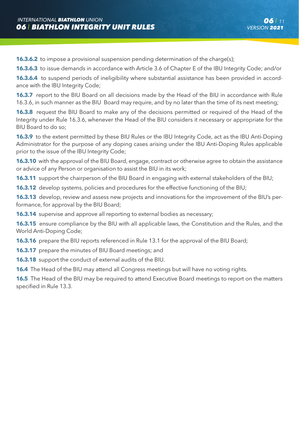**16.3.6.2** to impose a provisional suspension pending determination of the charge(s);

**16.3.6.3** to issue demands in accordance with Article 3.6 of Chapter E of the IBU Integrity Code; and/or

**16.3.6.4** to suspend periods of ineligibility where substantial assistance has been provided in accordance with the IBU Integrity Code;

**16.3.7** report to the BIU Board on all decisions made by the Head of the BIU in accordance with Rule 16.3.6, in such manner as the BIU Board may require, and by no later than the time of its next meeting;

**16.3.8** request the BIU Board to make any of the decisions permitted or required of the Head of the Integrity under Rule 16.3.6, whenever the Head of the BIU considers it necessary or appropriate for the BIU Board to do so;

**16.3.9** to the extent permitted by these BIU Rules or the IBU Integrity Code, act as the IBU Anti-Doping Administrator for the purpose of any doping cases arising under the IBU Anti-Doping Rules applicable prior to the issue of the IBU Integrity Code;

**16.3.10** with the approval of the BIU Board, engage, contract or otherwise agree to obtain the assistance or advice of any Person or organisation to assist the BIU in its work;

**16.3.11** support the chairperson of the BIU Board in engaging with external stakeholders of the BIU;

**16.3.12** develop systems, policies and procedures for the effective functioning of the BIU:

**16.3.13** develop, review and assess new projects and innovations for the improvement of the BIU's performance, for approval by the BIU Board;

**16.3.14** supervise and approve all reporting to external bodies as necessary;

**16.3.15** ensure compliance by the BIU with all applicable laws, the Constitution and the Rules, and the World Anti-Doping Code;

**16.3.16** prepare the BIU reports referenced in Rule 13.1 for the approval of the BIU Board:

**16.3.17** prepare the minutes of BIU Board meetings; and

**16.3.18** support the conduct of external audits of the BIU.

**16.4** The Head of the BIU may attend all Congress meetings but will have no voting rights.

**16.5** The Head of the BIU may be required to attend Executive Board meetings to report on the matters specified in Rule 13.3.